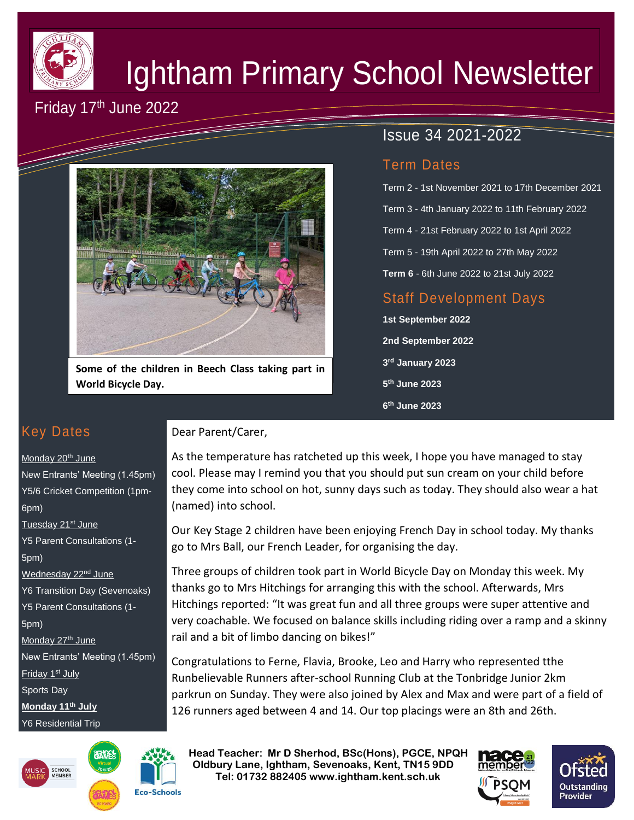

# Ightham Primary School Newsletter

# Friday 17th June 2022



**Some of the children in Beech Class taking part in World Bicycle Day.**

## Issue 34 2021-2022

### Term Dates

Term 2 - 1st November 2021 to 17th December 2021 Term 3 - 4th January 2022 to 11th February 2022 Term 4 - 21st February 2022 to 1st April 2022 Term 5 - 19th April 2022 to 27th May 2022 **Term 6** - 6th June 2022 to 21st July 2022

## Staff Development Days

**1st September 2022 2nd September 2022 3 rd January 2023 5 th June 2023 6 th June 2023**

## Key Dates

#### Monday 20<sup>th</sup> June

New Entrants' Meeting (1.45pm) Y5/6 Cricket Competition (1pm-6pm) Tuesday 21<sup>st</sup> June Y5 Parent Consultations (1- 5pm) Wednesday 22<sup>nd</sup> June Y6 Transition Day (Sevenoaks) Y5 Parent Consultations (1- 5pm) Monday 27<sup>th</sup> June New Entrants' Meeting (1.45pm) Friday 1<sup>st</sup> July Sports Day **Monday 11th July** Y6 Residential Trip





Dear Parent/Carer,

As the temperature has ratcheted up this week, I hope you have managed to stay cool. Please may I remind you that you should put sun cream on your child before they come into school on hot, sunny days such as today. They should also wear a hat (named) into school.

Our Key Stage 2 children have been enjoying French Day in school today. My thanks go to Mrs Ball, our French Leader, for organising the day.

Three groups of children took part in World Bicycle Day on Monday this week. My thanks go to Mrs Hitchings for arranging this with the school. Afterwards, Mrs Hitchings reported: "It was great fun and all three groups were super attentive and very coachable. We focused on balance skills including riding over a ramp and a skinny rail and a bit of limbo dancing on bikes!"

Congratulations to Ferne, Flavia, Brooke, Leo and Harry who represented tthe Runbelievable Runners after-school Running Club at the Tonbridge Junior 2km parkrun on Sunday. They were also joined by Alex and Max and were part of a field of 126 runners aged between 4 and 14. Our top placings were an 8th and 26th.

 **Head Teacher: Mr D Sherhod, BSc(Hons), PGCE, NPQH Oldbury Lane, Ightham, Sevenoaks, Kent, TN15 9DD** EXERIGING THE **TELE: 01732 882405 www.ightham.kent.sch.uk** 



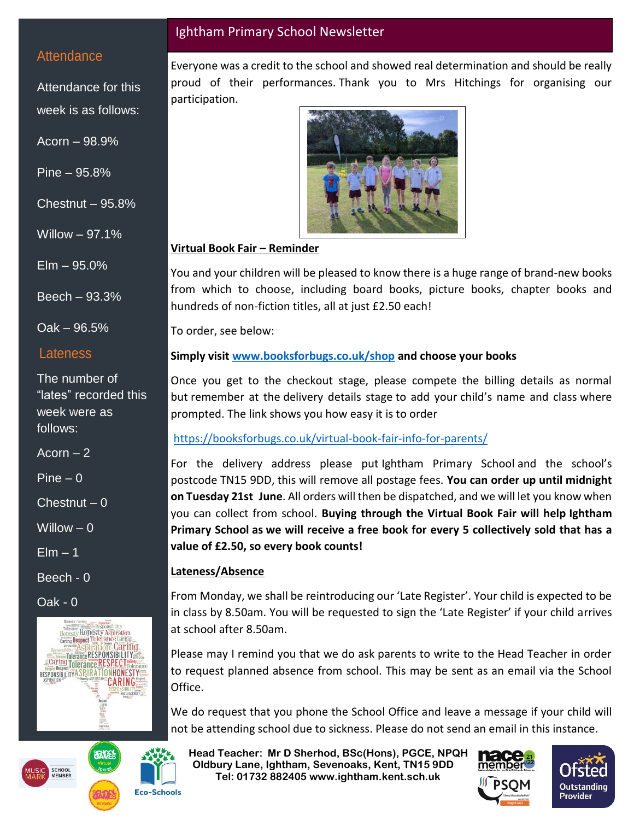#### **Attendance**

Attendance for this week is as follows:

Acorn – 98.9%

Pine – 95.8%

Chestnut – 95.8%

Willow – 97.1%

Elm – 95.0%

Beech – 93.3%

Oak – 96.5%

#### **Lateness**

The number of "lates" recorded this week were as follows:

 $Acorn - 2$ 

Pine  $-0$ 

Chestnut  $-0$ 

Willow  $-0$ 

 $E$ lm  $-1$ 

Beech - 0

Oak - 0







#### Ightham Primary School Newsletter

Everyone was a credit to the school and showed real determination and should be really proud of their performances. Thank you to Mrs Hitchings for organising our participation.



#### **Virtual Book Fair – Reminder**

You and your children will be pleased to know there is a huge range of brand-new books from which to choose, including board books, picture books, chapter books and hundreds of non-fiction titles, all at just £2.50 each!

To order, see below:

#### **Simply visit [www.booksforbugs.co.uk/shop](https://nam12.safelinks.protection.outlook.com/?url=http%3A%2F%2Fwww.booksforbugs.co.uk%2Fshop&data=05%7C01%7C%7C968cd165a3c74301b66908da39982dfe%7C84df9e7fe9f640afb435aaaaaaaaaaaa%7C1%7C0%7C637885623012320045%7CUnknown%7CTWFpbGZsb3d8eyJWIjoiMC4wLjAwMDAiLCJQIjoiV2luMzIiLCJBTiI6Ik1haWwiLCJXVCI6Mn0%3D%7C3000%7C%7C%7C&sdata=%2BXEr9fnKg0rxFhEglD0TxMdER6sekc7PyTMiKm1ftH0%3D&reserved=0) and choose your books**

Once you get to the checkout stage, please compete the billing details as normal but remember at the delivery details stage to add your child's name and class where prompted. The link shows you how easy it is to order

#### [https://booksforbugs.co.uk/virtual-book-fair-info-for-parents/](https://nam12.safelinks.protection.outlook.com/?url=https%3A%2F%2Fbooksforbugs.co.uk%2Fvirtual-book-fair-info-for-parents%2F&data=05%7C01%7C%7C968cd165a3c74301b66908da39982dfe%7C84df9e7fe9f640afb435aaaaaaaaaaaa%7C1%7C0%7C637885623012320045%7CUnknown%7CTWFpbGZsb3d8eyJWIjoiMC4wLjAwMDAiLCJQIjoiV2luMzIiLCJBTiI6Ik1haWwiLCJXVCI6Mn0%3D%7C3000%7C%7C%7C&sdata=a95cfZlwS%2FdbxjbI2JlpPglZ0Z5gmDX%2FVZ2bw5i24GM%3D&reserved=0)

For the delivery address please put Ightham Primary School and the school's postcode TN15 9DD, this will remove all postage fees. **You can order up until midnight on Tuesday 21st June**. All orders will then be dispatched, and we will let you know when you can collect from school. **Buying through the Virtual Book Fair will help Ightham Primary School as we will receive a free book for every 5 collectively sold that has a value of £2.50, so every book counts!**

#### **Lateness/Absence**

From Monday, we shall be reintroducing our 'Late Register'. Your child is expected to be in class by 8.50am. You will be requested to sign the 'Late Register' if your child arrives at school after 8.50am.

Please may I remind you that we do ask parents to write to the Head Teacher in order to request planned absence from school. This may be sent as an email via the School Office.

We do request that you phone the School Office and leave a message if your child will not be attending school due to sickness. Please do not send an email in this instance.

 **Head Teacher: Mr D Sherhod, BSc(Hons), PGCE, NPQH Oldbury Lane, Ightham, Sevenoaks, Kent, TN15 9DD** EXERIGING THE **TELE: 01732 882405 www.ightham.kent.sch.uk**